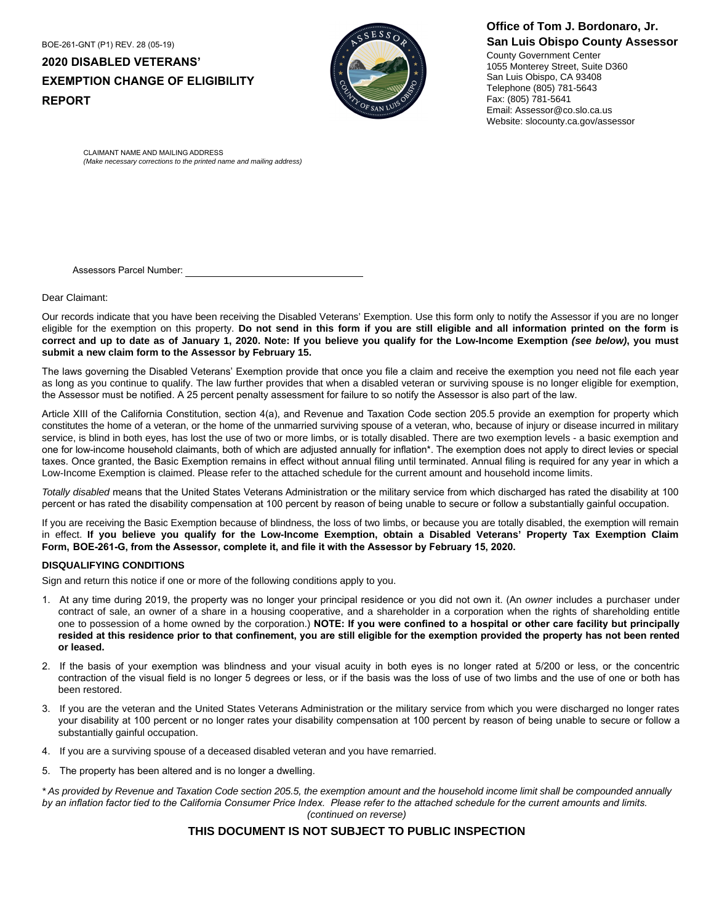BOE-261-GNT (P1) REV. 28 (05-19) **2020 DISABLED VETERANS' EXEMPTION CHANGE OF ELIGIBILITY REPORT** 



# **Office of Tom J. Bordonaro, Jr. San Luis Obispo County Assessor**

County Government Center 1055 Monterey Street, Suite D360 San Luis Obispo, CA 93408 Telephone (805) 781-5643 Fax: (805) 781-5641 Email: Assessor@co.slo.ca.us Website: slocounty.ca.gov/assessor

CLAIMANT NAME AND MAILING ADDRESS *(Make necessary corrections to the printed name and mailing address)*

Assessors Parcel Number:

Dear Claimant:

Our records indicate that you have been receiving the Disabled Veterans' Exemption. Use this form only to notify the Assessor if you are no longer eligible for the exemption on this property. Do not send in this form if you are still eligible and all information printed on the form is **correct and up to date as of January 1, 2020. Note: If you believe you qualify for the Low-Income Exemption** *(see below)***, you must submit a new claim form to the Assessor by February 15.**

The laws governing the Disabled Veterans' Exemption provide that once you file a claim and receive the exemption you need not file each year as long as you continue to qualify. The law further provides that when a disabled veteran or surviving spouse is no longer eligible for exemption, the Assessor must be notified. A 25 percent penalty assessment for failure to so notify the Assessor is also part of the law.

Article XIII of the California Constitution, section 4(a), and Revenue and Taxation Code section 205.5 provide an exemption for property which constitutes the home of a veteran, or the home of the unmarried surviving spouse of a veteran, who, because of injury or disease incurred in military service, is blind in both eyes, has lost the use of two or more limbs, or is totally disabled. There are two exemption levels - a basic exemption and one for low-income household claimants, both of which are adjusted annually for inflation\*. The exemption does not apply to direct levies or special taxes. Once granted, the Basic Exemption remains in effect without annual filing until terminated. Annual filing is required for any year in which a Low-Income Exemption is claimed. Please refer to the attached schedule for the current amount and household income limits.

*Totally disabled* means that the United States Veterans Administration or the military service from which discharged has rated the disability at 100 percent or has rated the disability compensation at 100 percent by reason of being unable to secure or follow a substantially gainful occupation.

If you are receiving the Basic Exemption because of blindness, the loss of two limbs, or because you are totally disabled, the exemption will remain in effect. **If you believe you qualify for the Low-Income Exemption, obtain a Disabled Veterans' Property Tax Exemption Claim Form, BOE-261-G, from the Assessor, complete it, and file it with the Assessor by February 15, 2020.**

### **DISQUALIFYING CONDITIONS**

Sign and return this notice if one or more of the following conditions apply to you.

- 1. At any time during 2019, the property was no longer your principal residence or you did not own it. (An *owner* includes a purchaser under contract of sale, an owner of a share in a housing cooperative, and a shareholder in a corporation when the rights of shareholding entitle one to possession of a home owned by the corporation.) **NOTE: If you were confined to a hospital or other care facility but principally resided at this residence prior to that confinement, you are still eligible for the exemption provided the property has not been rented or leased.**
- 2. If the basis of your exemption was blindness and your visual acuity in both eyes is no longer rated at 5/200 or less, or the concentric contraction of the visual field is no longer 5 degrees or less, or if the basis was the loss of use of two limbs and the use of one or both has been restored.
- 3. If you are the veteran and the United States Veterans Administration or the military service from which you were discharged no longer rates your disability at 100 percent or no longer rates your disability compensation at 100 percent by reason of being unable to secure or follow a substantially gainful occupation.
- 4. If you are a surviving spouse of a deceased disabled veteran and you have remarried.
- 5. The property has been altered and is no longer a dwelling.

*\* As provided by Revenue and Taxation Code section 205.5, the exemption amount and the household income limit shall be compounded annually by an inflation factor tied to the California Consumer Price Index. Please refer to the attached schedule for the current amounts and limits. (continued on reverse)*

## **THIS DOCUMENT IS NOT SUBJECT TO PUBLIC INSPECTION**